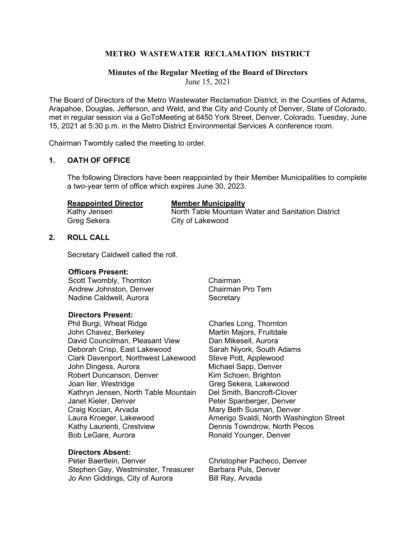## **METRO WASTEWATER RECLAMATION DISTRICT**

#### **Minutes of the Regular Meeting of the Board of Directors** June 15, 2021

The Board of Directors of the Metro Wastewater Reclamation District, in the Counties of Adams, Arapahoe, Douglas, Jefferson, and Weld, and the City and County of Denver, State of Colorado, met in regular session via a GoToMeeting at 6450 York Street, Denver, Colorado, Tuesday, June 15, 2021 at 5:30 p.m. in the Metro District Environmental Services A conference room.

Chairman Twombly called the meeting to order.

## **1. OATH OF OFFICE**

The following Directors have been reappointed by their Member Municipalities to complete a two-year term of office which expires June 30, 2023.

#### **Reappointed Director Member Municipality**

Greg Sekera **City of Lakewood** 

Kathy Jensen North Table Mountain Water and Sanitation District

#### **2. ROLL CALL**

Secretary Caldwell called the roll.

#### **Officers Present:**

Scott Twombly, Thornton Chairman Andrew Johnston, Denver Chairman Pro Tem Nadine Caldwell, Aurora Secretary

#### **Directors Present:**

Phil Burgi, Wheat Ridge Charles Long, Thornton John Chavez, Berkeley Martin Majors, Fruitdale<br>David Councilman, Pleasant View Dan Mikesell, Aurora David Councilman, Pleasant View Deborah Crisp, East Lakewood Sarah Nivork, South Adams Clark Davenport, Northwest Lakewood Steve Pott, Applewood John Dingess, Aurora Michael Sapp, Denver Robert Duncanson, Denver Joan Iler, Westridge Greeg Sekera, Lakewood Kathryn Jensen, North Table Mountain Del Smith, Bancroft-Clover Janet Kieler, Denver Peter Spanberger, Denver Craig Kocian, Arvada Mary Beth Susman, Denver Kathy Laurienti, Crestview Dennis Towndrow, North Pecos<br>Bob LeGare, Aurora **North Pecos** Ronald Younger, Denver

# **Directors Absent:**

Stephen Gay, Westminster, Treasurer Barbara Puls, Denver<br>Jo Ann Giddings, City of Aurora Bill Ray, Arvada Jo Ann Giddings, City of Aurora

Laura Kroeger, Lakewood Amerigo Svaldi, North Washington Street <br>Kathy Laurienti, Crestview Dennis Towndrow, North Pecos Ronald Younger, Denver

Christopher Pacheco, Denver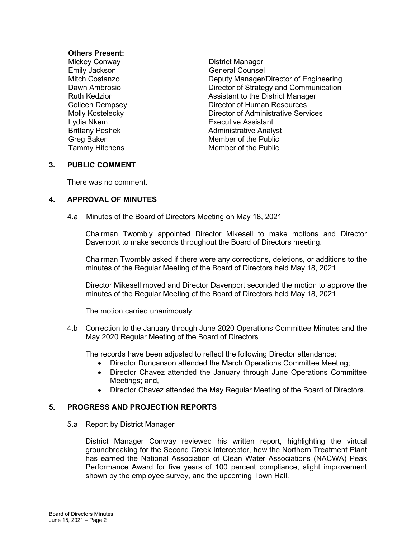## **Others Present:**

Mickey Conway **District Manager** Emily Jackson General Counsel

Deputy Manager/Director of Engineering Dawn Ambrosio Director of Strategy and Communication Ruth Kedzior **Assistant to the District Manager** Assistant to the District Manager **Colleen Dempsey Collet Colleen Dempsey** Molly Kostelecky Director of Administrative Services Lydia Nkem Executive Assistant Brittany Peshek Administrative Analyst<br>Greg Baker Administrative Analyst Member of the Public Tammy Hitchens Member of the Public

## **3. PUBLIC COMMENT**

There was no comment.

## **4. APPROVAL OF MINUTES**

4.a Minutes of the Board of Directors Meeting on May 18, 2021

Chairman Twombly appointed Director Mikesell to make motions and Director Davenport to make seconds throughout the Board of Directors meeting.

Chairman Twombly asked if there were any corrections, deletions, or additions to the minutes of the Regular Meeting of the Board of Directors held May 18, 2021.

Director Mikesell moved and Director Davenport seconded the motion to approve the minutes of the Regular Meeting of the Board of Directors held May 18, 2021.

The motion carried unanimously.

4.b Correction to the January through June 2020 Operations Committee Minutes and the May 2020 Regular Meeting of the Board of Directors

The records have been adjusted to reflect the following Director attendance:

- Director Duncanson attended the March Operations Committee Meeting;
- Director Chavez attended the January through June Operations Committee Meetings; and,
- Director Chavez attended the May Regular Meeting of the Board of Directors.

## **5. PROGRESS AND PROJECTION REPORTS**

5.a Report by District Manager

District Manager Conway reviewed his written report, highlighting the virtual groundbreaking for the Second Creek Interceptor, how the Northern Treatment Plant has earned the National Association of Clean Water Associations (NACWA) Peak Performance Award for five years of 100 percent compliance, slight improvement shown by the employee survey, and the upcoming Town Hall.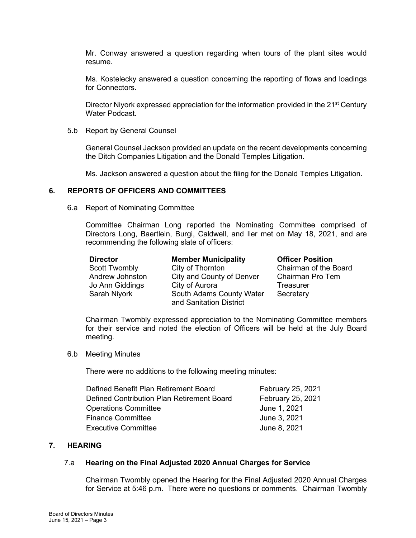Mr. Conway answered a question regarding when tours of the plant sites would resume.

Ms. Kostelecky answered a question concerning the reporting of flows and loadings for Connectors.

Director Niyork expressed appreciation for the information provided in the 21<sup>st</sup> Century Water Podcast.

5.b Report by General Counsel

General Counsel Jackson provided an update on the recent developments concerning the Ditch Companies Litigation and the Donald Temples Litigation.

Ms. Jackson answered a question about the filing for the Donald Temples Litigation.

## **6. REPORTS OF OFFICERS AND COMMITTEES**

#### 6.a Report of Nominating Committee

Committee Chairman Long reported the Nominating Committee comprised of Directors Long, Baertlein, Burgi, Caldwell, and Iler met on May 18, 2021, and are recommending the following slate of officers:

| <b>Director</b> | <b>Member Municipality</b>                          | <b>Officer Position</b> |
|-----------------|-----------------------------------------------------|-------------------------|
| Scott Twombly   | City of Thornton                                    | Chairman of the Board   |
| Andrew Johnston | City and County of Denver                           | Chairman Pro Tem        |
| Jo Ann Giddings | City of Aurora                                      | <b>Treasurer</b>        |
| Sarah Niyork    | South Adams County Water<br>and Sanitation District | Secretary               |

Chairman Twombly expressed appreciation to the Nominating Committee members for their service and noted the election of Officers will be held at the July Board meeting.

6.b Meeting Minutes

There were no additions to the following meeting minutes:

| February 25, 2021 |
|-------------------|
| February 25, 2021 |
| June 1, 2021      |
| June 3, 2021      |
| June 8, 2021      |
|                   |

#### **7. HEARING**

#### 7.a **Hearing on the Final Adjusted 2020 Annual Charges for Service**

Chairman Twombly opened the Hearing for the Final Adjusted 2020 Annual Charges for Service at 5:46 p.m. There were no questions or comments. Chairman Twombly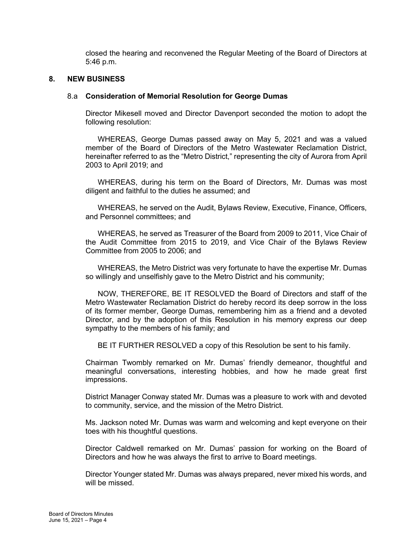closed the hearing and reconvened the Regular Meeting of the Board of Directors at 5:46 p.m.

#### **8. NEW BUSINESS**

#### 8.a **Consideration of Memorial Resolution for George Dumas**

Director Mikesell moved and Director Davenport seconded the motion to adopt the following resolution:

WHEREAS, George Dumas passed away on May 5, 2021 and was a valued member of the Board of Directors of the Metro Wastewater Reclamation District, hereinafter referred to as the "Metro District," representing the city of Aurora from April 2003 to April 2019; and

WHEREAS, during his term on the Board of Directors, Mr. Dumas was most diligent and faithful to the duties he assumed; and

WHEREAS, he served on the Audit, Bylaws Review, Executive, Finance, Officers, and Personnel committees; and

WHEREAS, he served as Treasurer of the Board from 2009 to 2011, Vice Chair of the Audit Committee from 2015 to 2019, and Vice Chair of the Bylaws Review Committee from 2005 to 2006; and

WHEREAS, the Metro District was very fortunate to have the expertise Mr. Dumas so willingly and unselfishly gave to the Metro District and his community;

NOW, THEREFORE, BE IT RESOLVED the Board of Directors and staff of the Metro Wastewater Reclamation District do hereby record its deep sorrow in the loss of its former member, George Dumas, remembering him as a friend and a devoted Director, and by the adoption of this Resolution in his memory express our deep sympathy to the members of his family; and

BE IT FURTHER RESOLVED a copy of this Resolution be sent to his family.

Chairman Twombly remarked on Mr. Dumas' friendly demeanor, thoughtful and meaningful conversations, interesting hobbies, and how he made great first impressions.

District Manager Conway stated Mr. Dumas was a pleasure to work with and devoted to community, service, and the mission of the Metro District.

Ms. Jackson noted Mr. Dumas was warm and welcoming and kept everyone on their toes with his thoughtful questions.

Director Caldwell remarked on Mr. Dumas' passion for working on the Board of Directors and how he was always the first to arrive to Board meetings.

Director Younger stated Mr. Dumas was always prepared, never mixed his words, and will be missed.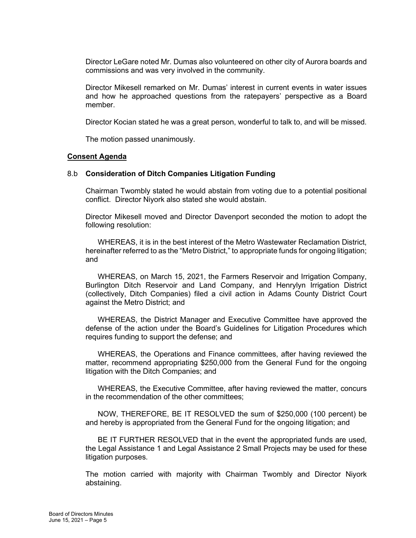Director LeGare noted Mr. Dumas also volunteered on other city of Aurora boards and commissions and was very involved in the community.

Director Mikesell remarked on Mr. Dumas' interest in current events in water issues and how he approached questions from the ratepayers' perspective as a Board member.

Director Kocian stated he was a great person, wonderful to talk to, and will be missed.

The motion passed unanimously.

#### **Consent Agenda**

#### 8.b **Consideration of Ditch Companies Litigation Funding**

Chairman Twombly stated he would abstain from voting due to a potential positional conflict. Director Niyork also stated she would abstain.

Director Mikesell moved and Director Davenport seconded the motion to adopt the following resolution:

WHEREAS, it is in the best interest of the Metro Wastewater Reclamation District, hereinafter referred to as the "Metro District," to appropriate funds for ongoing litigation; and

WHEREAS, on March 15, 2021, the Farmers Reservoir and Irrigation Company, Burlington Ditch Reservoir and Land Company, and Henrylyn Irrigation District (collectively, Ditch Companies) filed a civil action in Adams County District Court against the Metro District; and

WHEREAS, the District Manager and Executive Committee have approved the defense of the action under the Board's Guidelines for Litigation Procedures which requires funding to support the defense; and

WHEREAS, the Operations and Finance committees, after having reviewed the matter, recommend appropriating \$250,000 from the General Fund for the ongoing litigation with the Ditch Companies; and

WHEREAS, the Executive Committee, after having reviewed the matter, concurs in the recommendation of the other committees;

NOW, THEREFORE, BE IT RESOLVED the sum of \$250,000 (100 percent) be and hereby is appropriated from the General Fund for the ongoing litigation; and

BE IT FURTHER RESOLVED that in the event the appropriated funds are used, the Legal Assistance 1 and Legal Assistance 2 Small Projects may be used for these litigation purposes.

The motion carried with majority with Chairman Twombly and Director Niyork abstaining.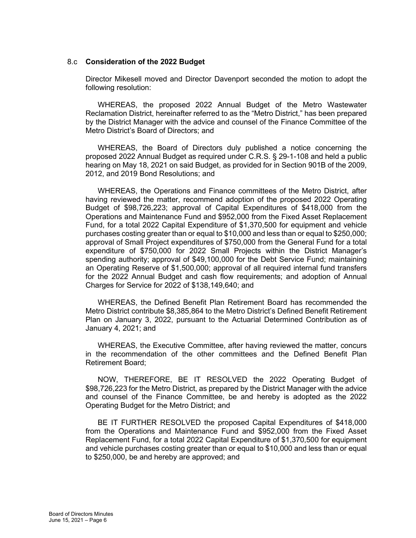#### 8.c **Consideration of the 2022 Budget**

Director Mikesell moved and Director Davenport seconded the motion to adopt the following resolution:

WHEREAS, the proposed 2022 Annual Budget of the Metro Wastewater Reclamation District, hereinafter referred to as the "Metro District," has been prepared by the District Manager with the advice and counsel of the Finance Committee of the Metro District's Board of Directors; and

WHEREAS, the Board of Directors duly published a notice concerning the proposed 2022 Annual Budget as required under C.R.S. § 29-1-108 and held a public hearing on May 18, 2021 on said Budget, as provided for in Section 901B of the 2009, 2012, and 2019 Bond Resolutions; and

WHEREAS, the Operations and Finance committees of the Metro District, after having reviewed the matter, recommend adoption of the proposed 2022 Operating Budget of \$98,726,223; approval of Capital Expenditures of \$418,000 from the Operations and Maintenance Fund and \$952,000 from the Fixed Asset Replacement Fund, for a total 2022 Capital Expenditure of \$1,370,500 for equipment and vehicle purchases costing greater than or equal to \$10,000 and less than or equal to \$250,000; approval of Small Project expenditures of \$750,000 from the General Fund for a total expenditure of \$750,000 for 2022 Small Projects within the District Manager's spending authority; approval of \$49,100,000 for the Debt Service Fund; maintaining an Operating Reserve of \$1,500,000; approval of all required internal fund transfers for the 2022 Annual Budget and cash flow requirements; and adoption of Annual Charges for Service for 2022 of \$138,149,640; and

WHEREAS, the Defined Benefit Plan Retirement Board has recommended the Metro District contribute \$8,385,864 to the Metro District's Defined Benefit Retirement Plan on January 3, 2022, pursuant to the Actuarial Determined Contribution as of January 4, 2021; and

WHEREAS, the Executive Committee, after having reviewed the matter, concurs in the recommendation of the other committees and the Defined Benefit Plan Retirement Board;

NOW, THEREFORE, BE IT RESOLVED the 2022 Operating Budget of \$98,726,223 for the Metro District, as prepared by the District Manager with the advice and counsel of the Finance Committee, be and hereby is adopted as the 2022 Operating Budget for the Metro District; and

BE IT FURTHER RESOLVED the proposed Capital Expenditures of \$418,000 from the Operations and Maintenance Fund and \$952,000 from the Fixed Asset Replacement Fund, for a total 2022 Capital Expenditure of \$1,370,500 for equipment and vehicle purchases costing greater than or equal to \$10,000 and less than or equal to \$250,000, be and hereby are approved; and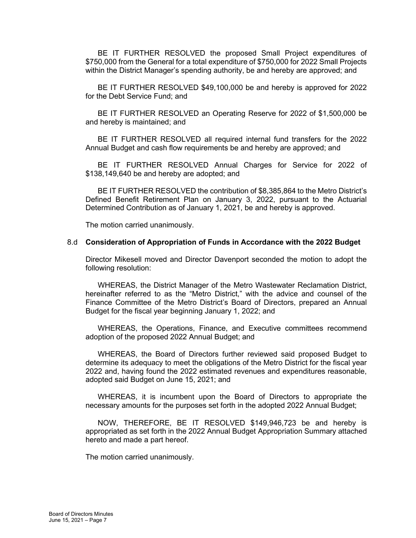BE IT FURTHER RESOLVED the proposed Small Project expenditures of \$750,000 from the General for a total expenditure of \$750,000 for 2022 Small Projects within the District Manager's spending authority, be and hereby are approved; and

BE IT FURTHER RESOLVED \$49,100,000 be and hereby is approved for 2022 for the Debt Service Fund; and

BE IT FURTHER RESOLVED an Operating Reserve for 2022 of \$1,500,000 be and hereby is maintained; and

BE IT FURTHER RESOLVED all required internal fund transfers for the 2022 Annual Budget and cash flow requirements be and hereby are approved; and

BE IT FURTHER RESOLVED Annual Charges for Service for 2022 of \$138,149,640 be and hereby are adopted; and

BE IT FURTHER RESOLVED the contribution of \$8,385,864 to the Metro District's Defined Benefit Retirement Plan on January 3, 2022, pursuant to the Actuarial Determined Contribution as of January 1, 2021, be and hereby is approved.

The motion carried unanimously.

#### 8.d **Consideration of Appropriation of Funds in Accordance with the 2022 Budget**

Director Mikesell moved and Director Davenport seconded the motion to adopt the following resolution:

WHEREAS, the District Manager of the Metro Wastewater Reclamation District, hereinafter referred to as the "Metro District," with the advice and counsel of the Finance Committee of the Metro District's Board of Directors, prepared an Annual Budget for the fiscal year beginning January 1, 2022; and

WHEREAS, the Operations, Finance, and Executive committees recommend adoption of the proposed 2022 Annual Budget; and

WHEREAS, the Board of Directors further reviewed said proposed Budget to determine its adequacy to meet the obligations of the Metro District for the fiscal year 2022 and, having found the 2022 estimated revenues and expenditures reasonable, adopted said Budget on June 15, 2021; and

WHEREAS, it is incumbent upon the Board of Directors to appropriate the necessary amounts for the purposes set forth in the adopted 2022 Annual Budget;

NOW, THEREFORE, BE IT RESOLVED \$149,946,723 be and hereby is appropriated as set forth in the 2022 Annual Budget Appropriation Summary attached hereto and made a part hereof.

The motion carried unanimously.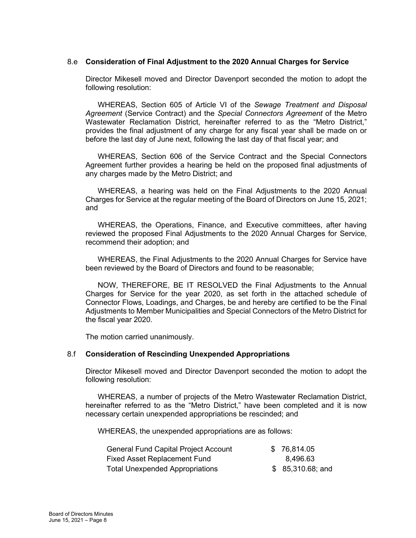## 8.e **Consideration of Final Adjustment to the 2020 Annual Charges for Service**

Director Mikesell moved and Director Davenport seconded the motion to adopt the following resolution:

WHEREAS, Section 605 of Article VI of the *Sewage Treatment and Disposal Agreement* (Service Contract) and the *Special Connectors Agreement* of the Metro Wastewater Reclamation District, hereinafter referred to as the "Metro District," provides the final adjustment of any charge for any fiscal year shall be made on or before the last day of June next, following the last day of that fiscal year; and

WHEREAS, Section 606 of the Service Contract and the Special Connectors Agreement further provides a hearing be held on the proposed final adjustments of any charges made by the Metro District; and

WHEREAS, a hearing was held on the Final Adjustments to the 2020 Annual Charges for Service at the regular meeting of the Board of Directors on June 15, 2021; and

WHEREAS, the Operations, Finance, and Executive committees, after having reviewed the proposed Final Adjustments to the 2020 Annual Charges for Service, recommend their adoption; and

WHEREAS, the Final Adjustments to the 2020 Annual Charges for Service have been reviewed by the Board of Directors and found to be reasonable;

NOW, THEREFORE, BE IT RESOLVED the Final Adjustments to the Annual Charges for Service for the year 2020, as set forth in the attached schedule of Connector Flows, Loadings, and Charges, be and hereby are certified to be the Final Adjustments to Member Municipalities and Special Connectors of the Metro District for the fiscal year 2020.

The motion carried unanimously.

#### 8.f **Consideration of Rescinding Unexpended Appropriations**

Director Mikesell moved and Director Davenport seconded the motion to adopt the following resolution:

WHEREAS, a number of projects of the Metro Wastewater Reclamation District, hereinafter referred to as the "Metro District," have been completed and it is now necessary certain unexpended appropriations be rescinded; and

WHEREAS, the unexpended appropriations are as follows:

| <b>General Fund Capital Project Account</b> | \$76,814.05        |
|---------------------------------------------|--------------------|
| <b>Fixed Asset Replacement Fund</b>         | 8.496.63           |
| <b>Total Unexpended Appropriations</b>      | $$85,310.68$ ; and |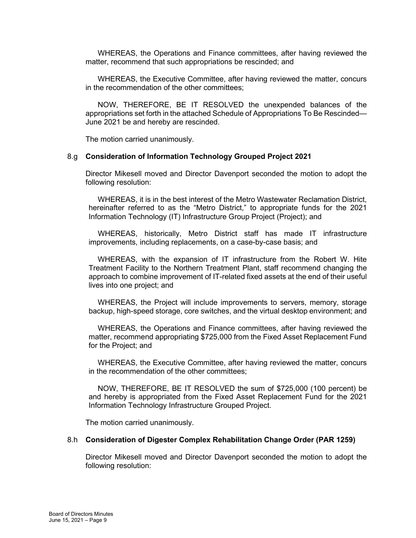WHEREAS, the Operations and Finance committees, after having reviewed the matter, recommend that such appropriations be rescinded; and

WHEREAS, the Executive Committee, after having reviewed the matter, concurs in the recommendation of the other committees;

NOW, THEREFORE, BE IT RESOLVED the unexpended balances of the appropriations set forth in the attached Schedule of Appropriations To Be Rescinded— June 2021 be and hereby are rescinded.

The motion carried unanimously.

#### 8.g **Consideration of Information Technology Grouped Project 2021**

Director Mikesell moved and Director Davenport seconded the motion to adopt the following resolution:

WHEREAS, it is in the best interest of the Metro Wastewater Reclamation District, hereinafter referred to as the "Metro District," to appropriate funds for the 2021 Information Technology (IT) Infrastructure Group Project (Project); and

WHEREAS, historically, Metro District staff has made IT infrastructure improvements, including replacements, on a case-by-case basis; and

WHEREAS, with the expansion of IT infrastructure from the Robert W. Hite Treatment Facility to the Northern Treatment Plant, staff recommend changing the approach to combine improvement of IT-related fixed assets at the end of their useful lives into one project; and

WHEREAS, the Project will include improvements to servers, memory, storage backup, high-speed storage, core switches, and the virtual desktop environment; and

WHEREAS, the Operations and Finance committees, after having reviewed the matter, recommend appropriating \$725,000 from the Fixed Asset Replacement Fund for the Project; and

WHEREAS, the Executive Committee, after having reviewed the matter, concurs in the recommendation of the other committees;

NOW, THEREFORE, BE IT RESOLVED the sum of \$725,000 (100 percent) be and hereby is appropriated from the Fixed Asset Replacement Fund for the 2021 Information Technology Infrastructure Grouped Project.

The motion carried unanimously.

#### 8.h **Consideration of Digester Complex Rehabilitation Change Order (PAR 1259)**

Director Mikesell moved and Director Davenport seconded the motion to adopt the following resolution: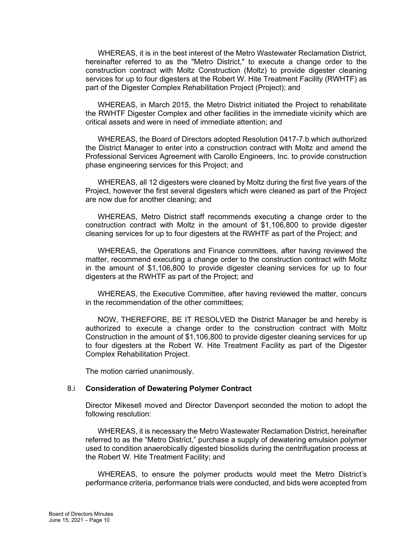WHEREAS, it is in the best interest of the Metro Wastewater Reclamation District, hereinafter referred to as the "Metro District," to execute a change order to the construction contract with Moltz Construction (Moltz) to provide digester cleaning services for up to four digesters at the Robert W. Hite Treatment Facility (RWHTF) as part of the Digester Complex Rehabilitation Project (Project); and

WHEREAS, in March 2015, the Metro District initiated the Project to rehabilitate the RWHTF Digester Complex and other facilities in the immediate vicinity which are critical assets and were in need of immediate attention; and

WHEREAS, the Board of Directors adopted Resolution 0417-7.b which authorized the District Manager to enter into a construction contract with Moltz and amend the Professional Services Agreement with Carollo Engineers, Inc. to provide construction phase engineering services for this Project; and

WHEREAS, all 12 digesters were cleaned by Moltz during the first five years of the Project, however the first several digesters which were cleaned as part of the Project are now due for another cleaning; and

WHEREAS, Metro District staff recommends executing a change order to the construction contract with Moltz in the amount of \$1,106,800 to provide digester cleaning services for up to four digesters at the RWHTF as part of the Project; and

WHEREAS, the Operations and Finance committees, after having reviewed the matter, recommend executing a change order to the construction contract with Moltz in the amount of \$1,106,800 to provide digester cleaning services for up to four digesters at the RWHTF as part of the Project; and

WHEREAS, the Executive Committee, after having reviewed the matter, concurs in the recommendation of the other committees;

NOW, THEREFORE, BE IT RESOLVED the District Manager be and hereby is authorized to execute a change order to the construction contract with Moltz Construction in the amount of \$1,106,800 to provide digester cleaning services for up to four digesters at the Robert W. Hite Treatment Facility as part of the Digester Complex Rehabilitation Project.

The motion carried unanimously.

#### 8.i **Consideration of Dewatering Polymer Contract**

Director Mikesell moved and Director Davenport seconded the motion to adopt the following resolution:

WHEREAS, it is necessary the Metro Wastewater Reclamation District, hereinafter referred to as the "Metro District," purchase a supply of dewatering emulsion polymer used to condition anaerobically digested biosolids during the centrifugation process at the Robert W. Hite Treatment Facility; and

WHEREAS, to ensure the polymer products would meet the Metro District's performance criteria, performance trials were conducted, and bids were accepted from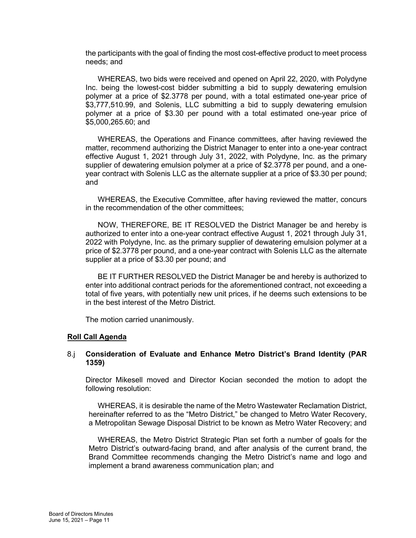the participants with the goal of finding the most cost-effective product to meet process needs; and

WHEREAS, two bids were received and opened on April 22, 2020, with Polydyne Inc. being the lowest-cost bidder submitting a bid to supply dewatering emulsion polymer at a price of \$2.3778 per pound, with a total estimated one-year price of \$3,777,510.99, and Solenis, LLC submitting a bid to supply dewatering emulsion polymer at a price of \$3.30 per pound with a total estimated one-year price of \$5,000,265.60; and

WHEREAS, the Operations and Finance committees, after having reviewed the matter, recommend authorizing the District Manager to enter into a one-year contract effective August 1, 2021 through July 31, 2022, with Polydyne, Inc. as the primary supplier of dewatering emulsion polymer at a price of \$2.3778 per pound, and a oneyear contract with Solenis LLC as the alternate supplier at a price of \$3.30 per pound; and

WHEREAS, the Executive Committee, after having reviewed the matter, concurs in the recommendation of the other committees;

NOW, THEREFORE, BE IT RESOLVED the District Manager be and hereby is authorized to enter into a one-year contract effective August 1, 2021 through July 31, 2022 with Polydyne, Inc. as the primary supplier of dewatering emulsion polymer at a price of \$2.3778 per pound, and a one-year contract with Solenis LLC as the alternate supplier at a price of \$3.30 per pound; and

BE IT FURTHER RESOLVED the District Manager be and hereby is authorized to enter into additional contract periods for the aforementioned contract, not exceeding a total of five years, with potentially new unit prices, if he deems such extensions to be in the best interest of the Metro District.

The motion carried unanimously.

#### **Roll Call Agenda**

## 8.j **Consideration of Evaluate and Enhance Metro District's Brand Identity (PAR 1359)**

Director Mikesell moved and Director Kocian seconded the motion to adopt the following resolution:

WHEREAS, it is desirable the name of the Metro Wastewater Reclamation District, hereinafter referred to as the "Metro District," be changed to Metro Water Recovery, a Metropolitan Sewage Disposal District to be known as Metro Water Recovery; and

WHEREAS, the Metro District Strategic Plan set forth a number of goals for the Metro District's outward-facing brand, and after analysis of the current brand, the Brand Committee recommends changing the Metro District's name and logo and implement a brand awareness communication plan; and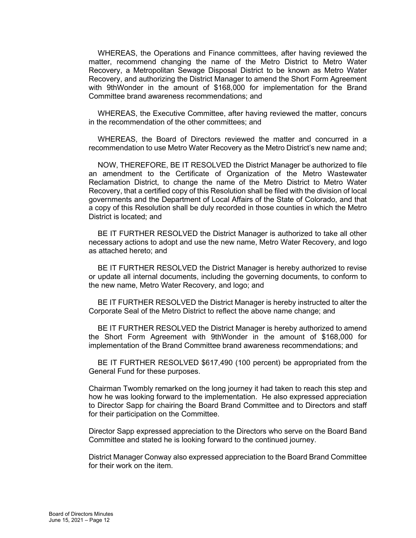WHEREAS, the Operations and Finance committees, after having reviewed the matter, recommend changing the name of the Metro District to Metro Water Recovery, a Metropolitan Sewage Disposal District to be known as Metro Water Recovery, and authorizing the District Manager to amend the Short Form Agreement with 9thWonder in the amount of \$168,000 for implementation for the Brand Committee brand awareness recommendations; and

WHEREAS, the Executive Committee, after having reviewed the matter, concurs in the recommendation of the other committees; and

WHEREAS, the Board of Directors reviewed the matter and concurred in a recommendation to use Metro Water Recovery as the Metro District's new name and;

NOW, THEREFORE, BE IT RESOLVED the District Manager be authorized to file an amendment to the Certificate of Organization of the Metro Wastewater Reclamation District, to change the name of the Metro District to Metro Water Recovery, that a certified copy of this Resolution shall be filed with the division of local governments and the Department of Local Affairs of the State of Colorado, and that a copy of this Resolution shall be duly recorded in those counties in which the Metro District is located; and

BE IT FURTHER RESOLVED the District Manager is authorized to take all other necessary actions to adopt and use the new name, Metro Water Recovery, and logo as attached hereto; and

BE IT FURTHER RESOLVED the District Manager is hereby authorized to revise or update all internal documents, including the governing documents, to conform to the new name, Metro Water Recovery, and logo; and

BE IT FURTHER RESOLVED the District Manager is hereby instructed to alter the Corporate Seal of the Metro District to reflect the above name change; and

BE IT FURTHER RESOLVED the District Manager is hereby authorized to amend the Short Form Agreement with 9thWonder in the amount of \$168,000 for implementation of the Brand Committee brand awareness recommendations; and

BE IT FURTHER RESOLVED \$617,490 (100 percent) be appropriated from the General Fund for these purposes.

Chairman Twombly remarked on the long journey it had taken to reach this step and how he was looking forward to the implementation. He also expressed appreciation to Director Sapp for chairing the Board Brand Committee and to Directors and staff for their participation on the Committee.

Director Sapp expressed appreciation to the Directors who serve on the Board Band Committee and stated he is looking forward to the continued journey.

District Manager Conway also expressed appreciation to the Board Brand Committee for their work on the item.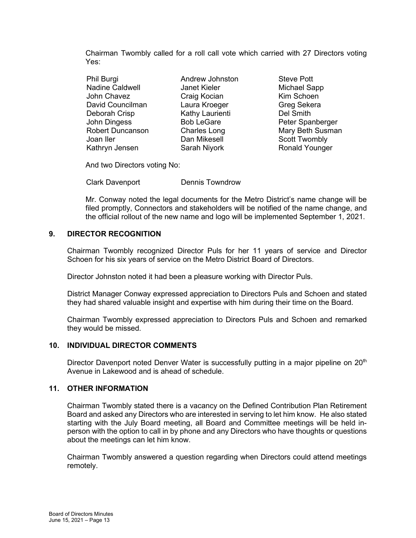Chairman Twombly called for a roll call vote which carried with 27 Directors voting Yes:

| Phil Burgi<br>Nadine Caldwell<br>John Chavez<br>David Councilman<br>Deborah Crisp<br>John Dingess<br>Robert Duncanson<br>Joan Iler | Andrew Johnston<br>Janet Kieler<br>Craig Kocian<br>Laura Kroeger<br>Kathy Laurienti<br><b>Bob LeGare</b><br><b>Charles Long</b><br>Dan Mikesell |
|------------------------------------------------------------------------------------------------------------------------------------|-------------------------------------------------------------------------------------------------------------------------------------------------|
|                                                                                                                                    |                                                                                                                                                 |
| Kathryn Jensen                                                                                                                     | Sarah Niyork                                                                                                                                    |
|                                                                                                                                    |                                                                                                                                                 |

**Steve Pott** Michael Sapp Kim Schoen Greg Sekera Del Smith Peter Spanberger Mary Beth Susman Scott Twombly Ronald Younger

And two Directors voting No:

Clark Davenport Dennis Towndrow

Mr. Conway noted the legal documents for the Metro District's name change will be filed promptly, Connectors and stakeholders will be notified of the name change, and the official rollout of the new name and logo will be implemented September 1, 2021.

## **9. DIRECTOR RECOGNITION**

Chairman Twombly recognized Director Puls for her 11 years of service and Director Schoen for his six years of service on the Metro District Board of Directors.

Director Johnston noted it had been a pleasure working with Director Puls.

District Manager Conway expressed appreciation to Directors Puls and Schoen and stated they had shared valuable insight and expertise with him during their time on the Board.

Chairman Twombly expressed appreciation to Directors Puls and Schoen and remarked they would be missed.

## **10. INDIVIDUAL DIRECTOR COMMENTS**

Director Davenport noted Denver Water is successfully putting in a major pipeline on 20<sup>th</sup> Avenue in Lakewood and is ahead of schedule.

## **11. OTHER INFORMATION**

Chairman Twombly stated there is a vacancy on the Defined Contribution Plan Retirement Board and asked any Directors who are interested in serving to let him know. He also stated starting with the July Board meeting, all Board and Committee meetings will be held inperson with the option to call in by phone and any Directors who have thoughts or questions about the meetings can let him know.

Chairman Twombly answered a question regarding when Directors could attend meetings remotely.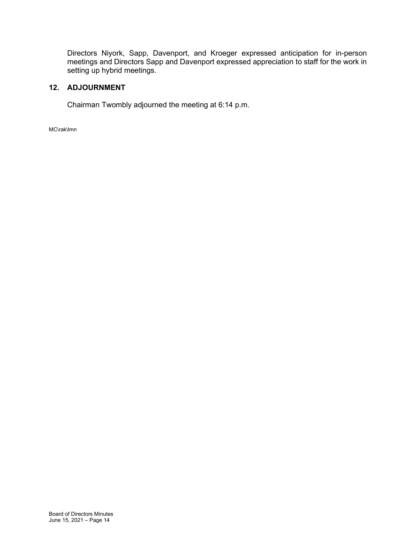Directors Niyork, Sapp, Davenport, and Kroeger expressed anticipation for in-person meetings and Directors Sapp and Davenport expressed appreciation to staff for the work in setting up hybrid meetings.

## **12. ADJOURNMENT**

Chairman Twombly adjourned the meeting at 6:14 p.m.

MC\rak\lmn